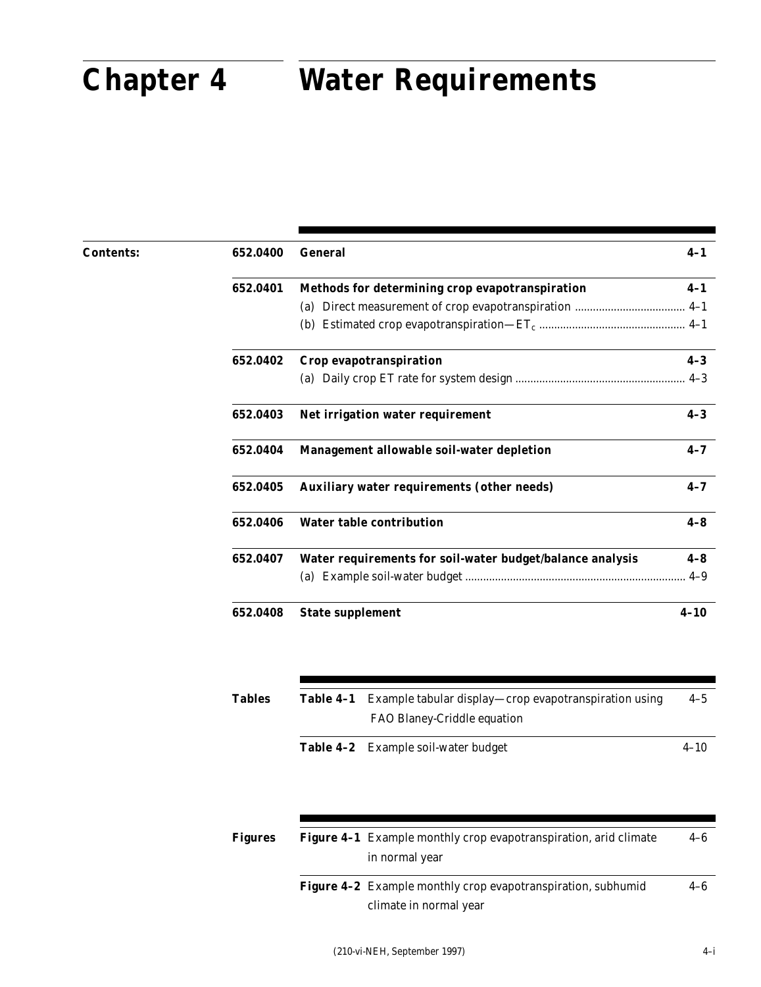# **Chapter 4**

## **Chapter 4 Water Requirements**

| <b>Contents:</b> | 652.0400 | <b>General</b>                                            | $4 - 1$  |
|------------------|----------|-----------------------------------------------------------|----------|
|                  | 652.0401 | Methods for determining crop evapotranspiration           | $4 - 1$  |
|                  |          |                                                           |          |
|                  |          |                                                           |          |
|                  | 652.0402 | Crop evapotranspiration                                   | $4 - 3$  |
|                  |          |                                                           |          |
|                  | 652.0403 | Net irrigation water requirement                          | $4 - 3$  |
|                  | 652.0404 | Management allowable soil-water depletion                 | $4 - 7$  |
|                  | 652.0405 | <b>Auxiliary water requirements (other needs)</b>         | $4 - 7$  |
|                  | 652.0406 | <b>Water table contribution</b>                           | $4 - 8$  |
|                  | 652.0407 | Water requirements for soil-water budget/balance analysis | $4-8$    |
|                  |          |                                                           | $4 - 9$  |
|                  | 652.0408 | <b>State supplement</b>                                   | $4 - 10$ |
|                  |          |                                                           |          |

| <b>Tables</b> | Table 4-1 Example tabular display—crop evapotranspiration using | $4 - 5$  |
|---------------|-----------------------------------------------------------------|----------|
|               | FAO Blaney-Criddle equation                                     |          |
|               | Table 4-2 Example soil-water budget                             | $4 - 10$ |

| Figures | <b>Figure 4-1</b> Example monthly crop evapotranspiration, arid climate |         |  |  |  |
|---------|-------------------------------------------------------------------------|---------|--|--|--|
|         | in normal year                                                          |         |  |  |  |
|         | <b>Figure 4-2</b> Example monthly crop evapotranspiration, subhumid     | $4 - 6$ |  |  |  |

(210-vi-NEH, September 1997)

climate in normal year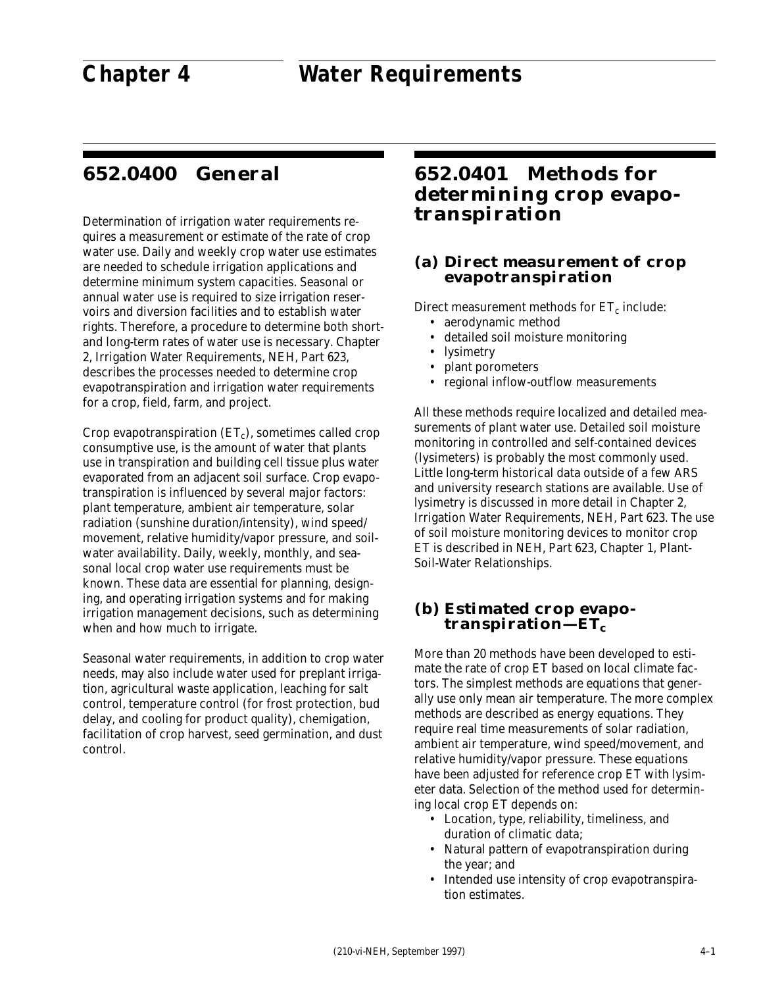## **652.0400 General**

Determination of irrigation water requirements requires a measurement or estimate of the rate of crop water use. Daily and weekly crop water use estimates are needed to schedule irrigation applications and determine minimum system capacities. Seasonal or annual water use is required to size irrigation reservoirs and diversion facilities and to establish water rights. Therefore, a procedure to determine both shortand long-term rates of water use is necessary. Chapter 2, Irrigation Water Requirements, NEH, Part 623, describes the processes needed to determine crop evapotranspiration and irrigation water requirements for a crop, field, farm, and project.

Crop evapotranspiration  $(ET_c)$ , sometimes called crop consumptive use, is the amount of water that plants use in transpiration and building cell tissue plus water evaporated from an adjacent soil surface. Crop evapotranspiration is influenced by several major factors: plant temperature, ambient air temperature, solar radiation (sunshine duration/intensity), wind speed/ movement, relative humidity/vapor pressure, and soilwater availability. Daily, weekly, monthly, and seasonal local crop water use requirements must be known. These data are essential for planning, designing, and operating irrigation systems and for making irrigation management decisions, such as determining when and how much to irrigate.

Seasonal water requirements, in addition to crop water needs, may also include water used for preplant irrigation, agricultural waste application, leaching for salt control, temperature control (for frost protection, bud delay, and cooling for product quality), chemigation, facilitation of crop harvest, seed germination, and dust control.

## **652.0401 Methods for determining crop evapotranspiration**

#### **(a) Direct measurement of crop evapotranspiration**

Direct measurement methods for  $ET_c$  include:

- aerodynamic method
- detailed soil moisture monitoring
- lysimetry
- plant porometers
- regional inflow-outflow measurements

All these methods require localized and detailed measurements of plant water use. Detailed soil moisture monitoring in controlled and self-contained devices (lysimeters) is probably the most commonly used. Little long-term historical data outside of a few ARS and university research stations are available. Use of lysimetry is discussed in more detail in Chapter 2, Irrigation Water Requirements, NEH, Part 623. The use of soil moisture monitoring devices to monitor crop ET is described in NEH, Part 623, Chapter 1, Plant-Soil-Water Relationships.

#### **(b) Estimated crop evapo**transpiration—ET<sub>c</sub>

More than 20 methods have been developed to estimate the rate of crop ET based on local climate factors. The simplest methods are equations that generally use only mean air temperature. The more complex methods are described as energy equations. They require real time measurements of solar radiation, ambient air temperature, wind speed/movement, and relative humidity/vapor pressure. These equations have been adjusted for reference crop ET with lysimeter data. Selection of the method used for determining local crop ET depends on:

- Location, type, reliability, timeliness, and duration of climatic data;
- Natural pattern of evapotranspiration during the year; and
- Intended use intensity of crop evapotranspiration estimates.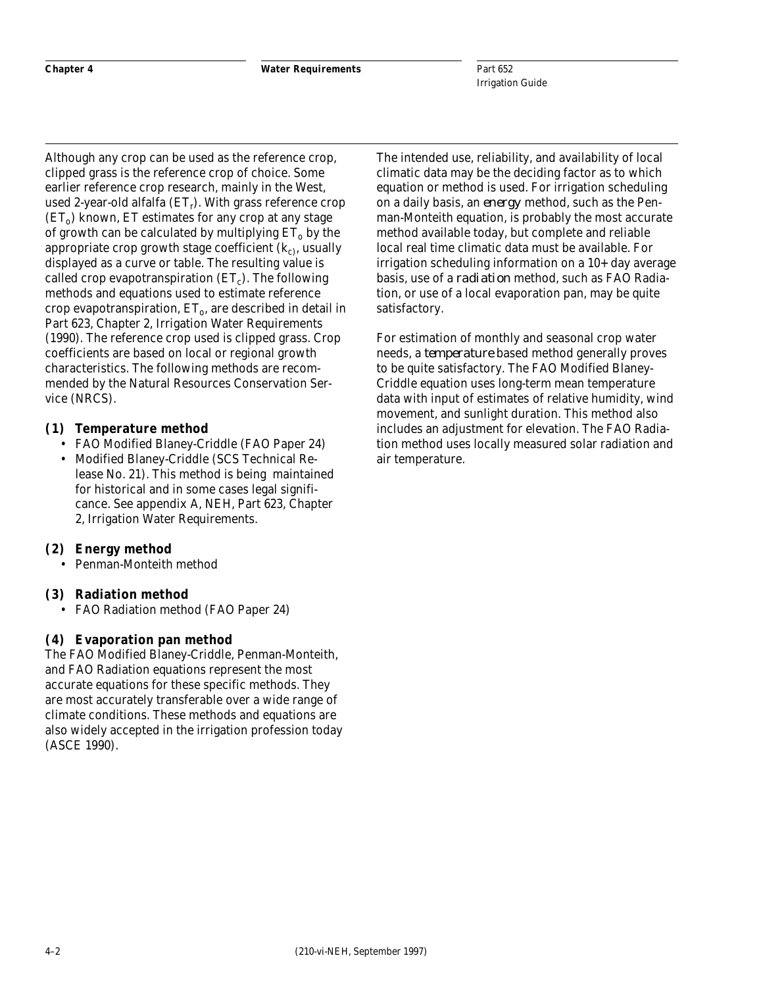Although any crop can be used as the reference crop, clipped grass is the reference crop of choice. Some earlier reference crop research, mainly in the West, used 2-year-old alfalfa  $(ET_r)$ . With grass reference crop  $(ET<sub>o</sub>)$  known, ET estimates for any crop at any stage of growth can be calculated by multiplying  $ET_0$  by the appropriate crop growth stage coefficient  $(k<sub>c</sub>)$ , usually displayed as a curve or table. The resulting value is called crop evapotranspiration  $(ET_c)$ . The following methods and equations used to estimate reference crop evapotranspiration,  $ET_0$ , are described in detail in Part 623, Chapter 2, Irrigation Water Requirements (1990). The reference crop used is clipped grass. Crop coefficients are based on local or regional growth characteristics. The following methods are recommended by the Natural Resources Conservation Service (NRCS).

#### **(1) Temperature method**

- FAO Modified Blaney-Criddle (FAO Paper 24)
- Modified Blaney-Criddle (SCS Technical Release No. 21). This method is being maintained for historical and in some cases legal significance. See appendix A, NEH, Part 623, Chapter 2, Irrigation Water Requirements.

#### **(2) Energy method**

• Penman-Monteith method

#### **(3) Radiation method**

• FAO Radiation method (FAO Paper 24)

#### **(4) Evaporation pan method**

The FAO Modified Blaney-Criddle, Penman-Monteith, and FAO Radiation equations represent the most accurate equations for these specific methods. They are most accurately transferable over a wide range of climate conditions. These methods and equations are also widely accepted in the irrigation profession today (ASCE 1990).

The intended use, reliability, and availability of local climatic data may be the deciding factor as to which equation or method is used. For irrigation scheduling on a daily basis, an *energy* method, such as the Penman-Monteith equation, is probably the most accurate method available today, but complete and reliable local real time climatic data must be available. For irrigation scheduling information on a 10+ day average basis, use of a *radiation* method, such as FAO Radiation, or use of a local evaporation pan, may be quite satisfactory.

For estimation of monthly and seasonal crop water needs, a *temperature* based method generally proves to be quite satisfactory. The FAO Modified Blaney-Criddle equation uses long-term mean temperature data with input of estimates of relative humidity, wind movement, and sunlight duration. This method also includes an adjustment for elevation. The FAO Radiation method uses locally measured solar radiation and air temperature.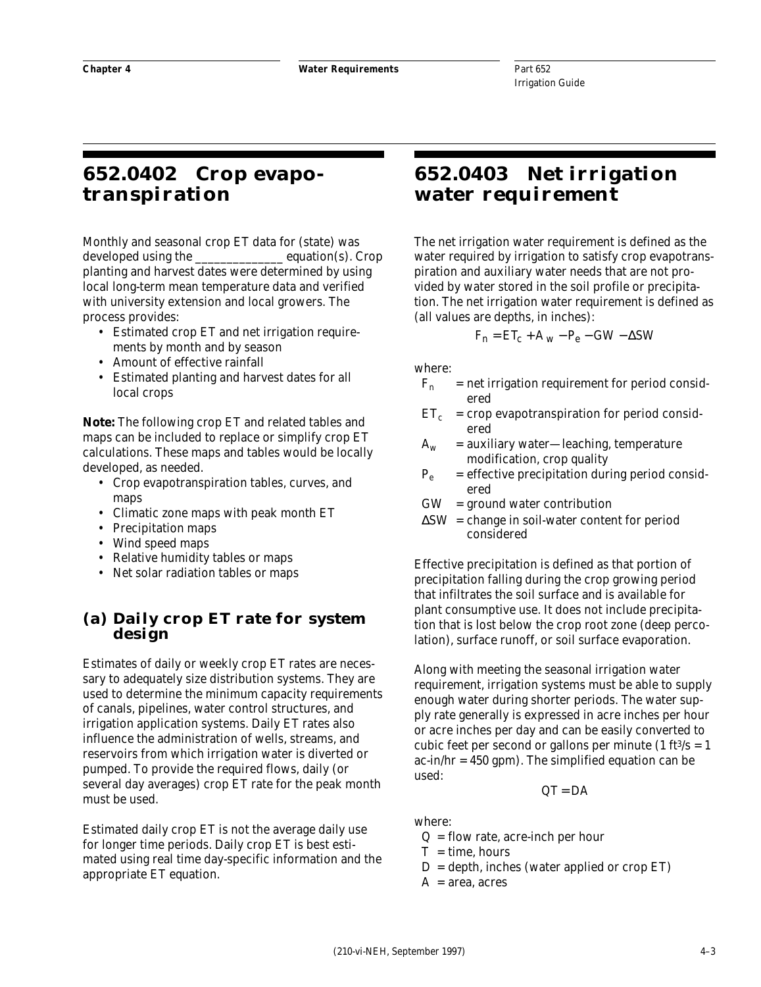## **652.0402 Crop evapotranspiration**

Monthly and seasonal crop ET data for (state) was developed using the equation(s). Crop planting and harvest dates were determined by using local long-term mean temperature data and verified with university extension and local growers. The process provides:

- Estimated crop ET and net irrigation requirements by month and by season
- Amount of effective rainfall
- Estimated planting and harvest dates for all local crops

*Note:* The following crop ET and related tables and maps can be included to replace or simplify crop ET calculations. These maps and tables would be locally developed, as needed.

- Crop evapotranspiration tables, curves, and maps
- Climatic zone maps with peak month ET
- Precipitation maps
- Wind speed maps
- Relative humidity tables or maps
- Net solar radiation tables or maps

#### **(a) Daily crop ET rate for system design**

Estimates of daily or weekly crop ET rates are necessary to adequately size distribution systems. They are used to determine the minimum capacity requirements of canals, pipelines, water control structures, and irrigation application systems. Daily ET rates also influence the administration of wells, streams, and reservoirs from which irrigation water is diverted or pumped. To provide the required flows, daily (or several day averages) crop ET rate for the peak month must be used.

Estimated daily crop ET is not the average daily use for longer time periods. Daily crop ET is best estimated using real time day-specific information and the appropriate ET equation.

## **652.0403 Net irrigation water requirement**

The net irrigation water requirement is defined as the water required by irrigation to satisfy crop evapotranspiration and auxiliary water needs that are not provided by water stored in the soil profile or precipitation. The net irrigation water requirement is defined as (all values are depths, in inches):

$$
F_n = ET_c + A_w - P_e - GW - \Delta SW
$$

where:

- $F_n$  = net irrigation requirement for period considered
- $ET_c$  = crop evapotranspiration for period considered
- $A_w$  = auxiliary water—leaching, temperature modification, crop quality
- $P_e$  = effective precipitation during period considered
- $GW = ground water contribution$
- $\Delta$ SW = change in soil-water content for period considered

Effective precipitation is defined as that portion of precipitation falling during the crop growing period that infiltrates the soil surface and is available for plant consumptive use. It does not include precipitation that is lost below the crop root zone (deep percolation), surface runoff, or soil surface evaporation.

Along with meeting the seasonal irrigation water requirement, irrigation systems must be able to supply enough water during shorter periods. The water supply rate generally is expressed in acre inches per hour or acre inches per day and can be easily converted to cubic feet per second or gallons per minute  $(1 ft<sup>3</sup>/s = 1)$  $ac-in/hr = 450$  gpm). The simplified equation can be used:

 $QT = DA$ 

where:

- $Q =$  flow rate, acre-inch per hour
- $T =$  time, hours
- $D =$  depth, inches (water applied or crop ET)
- $A = area$ , acres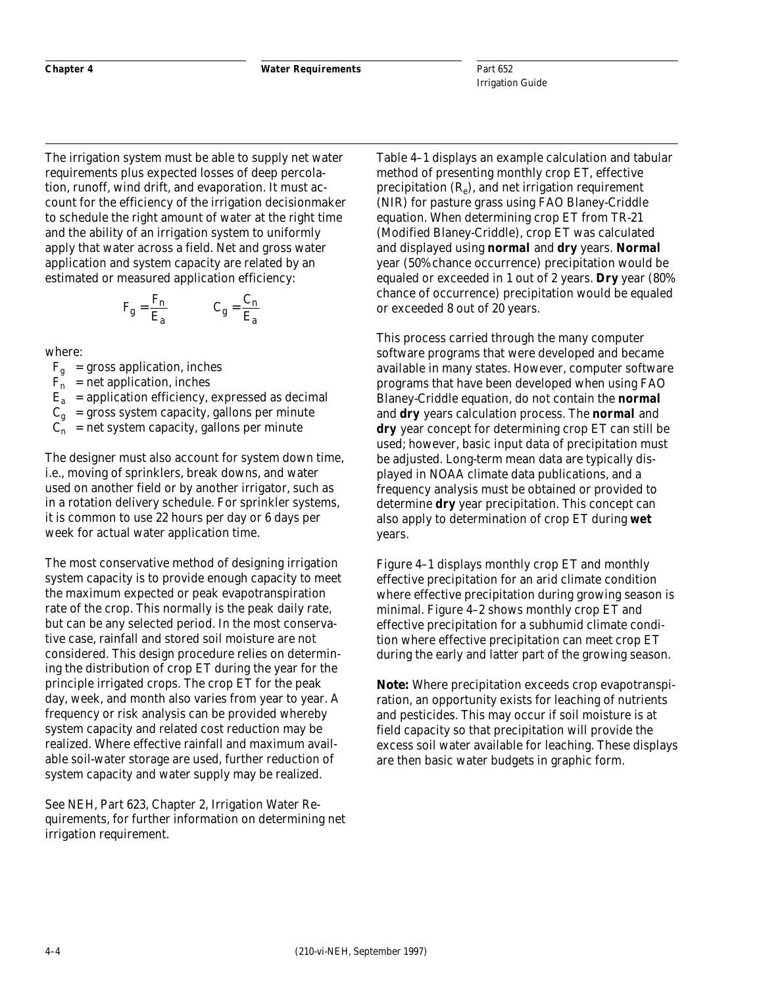The irrigation system must be able to supply net water requirements plus expected losses of deep percolation, runoff, wind drift, and evaporation. It must account for the efficiency of the irrigation decisionmaker to schedule the right amount of water at the right time and the ability of an irrigation system to uniformly apply that water across a field. Net and gross water application and system capacity are related by an estimated or measured application efficiency:

$$
F_g = \frac{F_n}{E_a} \qquad C_g = \frac{C_n}{E_a}
$$

where:

 $F_g$  = gross application, inches

 $F_n$  = net application, inches

 $E_a$  = application efficiency, expressed as decimal

 $C_g$  = gross system capacity, gallons per minute

 $C_n$  = net system capacity, gallons per minute

The designer must also account for system down time, i.e., moving of sprinklers, break downs, and water used on another field or by another irrigator, such as in a rotation delivery schedule. For sprinkler systems, it is common to use 22 hours per day or 6 days per week for actual water application time.

The most conservative method of designing irrigation system capacity is to provide enough capacity to meet the maximum expected or peak evapotranspiration rate of the crop. This normally is the peak daily rate, but can be any selected period. In the most conservative case, rainfall and stored soil moisture are not considered. This design procedure relies on determining the distribution of crop ET during the year for the principle irrigated crops. The crop ET for the peak day, week, and month also varies from year to year. A frequency or risk analysis can be provided whereby system capacity and related cost reduction may be realized. Where effective rainfall and maximum available soil-water storage are used, further reduction of system capacity and water supply may be realized.

See NEH, Part 623, Chapter 2, Irrigation Water Requirements, for further information on determining net irrigation requirement.

Table 4–1 displays an example calculation and tabular method of presenting monthly crop ET, effective precipitation  $(R_e)$ , and net irrigation requirement (NIR) for pasture grass using FAO Blaney-Criddle equation. When determining crop ET from TR-21 (Modified Blaney-Criddle), crop ET was calculated and displayed using **normal** and **dry** years. **Normal** year (50% chance occurrence) precipitation would be equaled or exceeded in 1 out of 2 years. **Dry** year (80% chance of occurrence) precipitation would be equaled or exceeded 8 out of 20 years.

This process carried through the many computer software programs that were developed and became available in many states. However, computer software programs that have been developed when using FAO Blaney-Criddle equation, do not contain the **normal** and **dry** years calculation process. The **normal** and **dry** year concept for determining crop ET can still be used; however, basic input data of precipitation must be adjusted. Long-term mean data are typically displayed in NOAA climate data publications, and a frequency analysis must be obtained or provided to determine **dry** year precipitation. This concept can also apply to determination of crop ET during **wet** years.

Figure 4–1 displays monthly crop ET and monthly effective precipitation for an arid climate condition where effective precipitation during growing season is minimal. Figure 4–2 shows monthly crop ET and effective precipitation for a subhumid climate condition where effective precipitation can meet crop ET during the early and latter part of the growing season.

*Note:* Where precipitation exceeds crop evapotranspiration, an opportunity exists for leaching of nutrients and pesticides. This may occur if soil moisture is at field capacity so that precipitation will provide the excess soil water available for leaching. These displays are then basic water budgets in graphic form.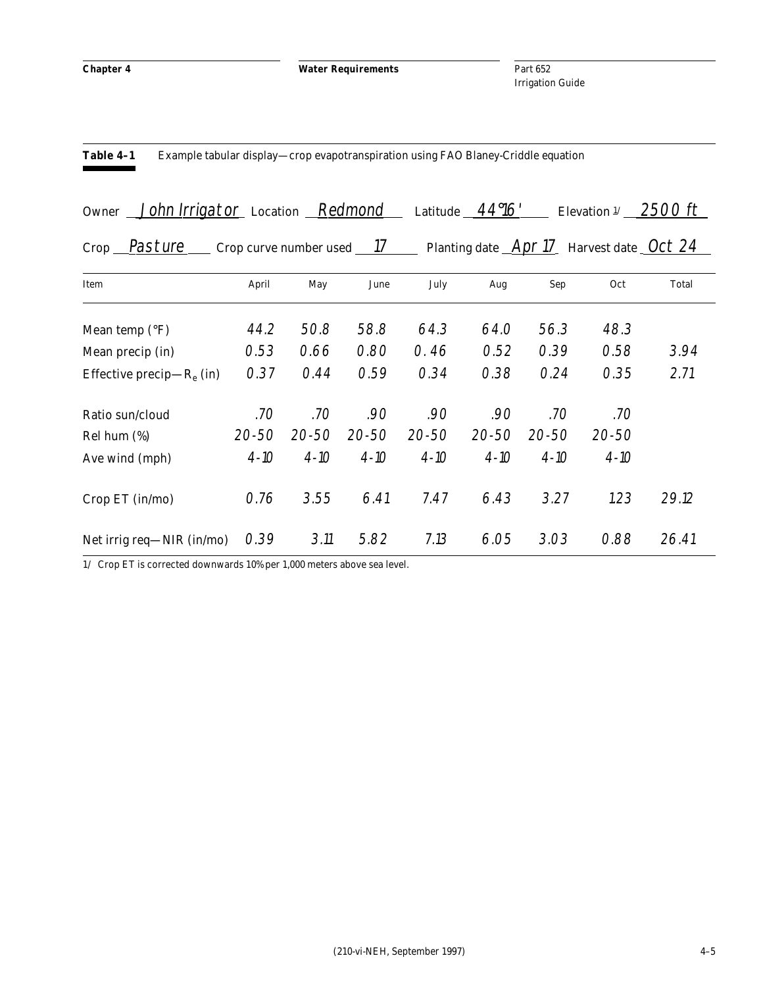**Chapter 4 Water Requirements**

**Table 4–1** Example tabular display—crop evapotranspiration using FAO Blaney-Criddle equation

Part 652 Irrigation Guide

| Owner John Irrigator Location Redmond Latitude 4496' Elevation 1 2500 ft |  |  |  |  |
|--------------------------------------------------------------------------|--|--|--|--|
|--------------------------------------------------------------------------|--|--|--|--|

Crop Pasture Crop curve number used 17 Planting date Apr 17 Harvest date Oct 24

| Item                         | April    | May       | June      | July      | Aug       | Sep       | Oct       | Total |
|------------------------------|----------|-----------|-----------|-----------|-----------|-----------|-----------|-------|
|                              |          |           |           |           |           |           |           |       |
| Mean temp $({}^{\circ}F)$    | 44.2     | 50.8      | 58.8      | 64.3      | 64.0      | 56.3      | 48.3      |       |
| Mean precip (in)             | 0.53     | 0.66      | 0.80      | 0.46      | 0.52      | 0.39      | 0.58      | 3.94  |
| Effective precip— $R_e$ (in) | 0.37     | 0.44      | 0.59      | 0.34      | 0.38      | 0.24      | 0.35      | 2.71  |
| Ratio sun/cloud              | .70      | .70       | .90       | .90       | .90       | .70       | .70       |       |
| Rel hum $(\%)$               | 20-50    | $20 - 50$ | $20 - 50$ | $20 - 50$ | $20 - 50$ | $20 - 50$ | $20 - 50$ |       |
| Ave wind (mph)               | $4 - 10$ | $4 - 10$  | $4 - 10$  | $4 - 10$  | $4 - 10$  | $4 - 10$  | $4 - 10$  |       |
| Crop ET (in/mo)              | 0.76     | 3.55      | 6.41      | 7.47      | 6.43      | 3.27      | 1.23      | 29.12 |
| Net irrig req—NIR (in/mo)    | 0.39     | 3.11      | 5.82      | 7.13      | 6.05      | 3.03      | 0.88      | 26.41 |

1/ Crop ET is corrected downwards 10% per 1,000 meters above sea level.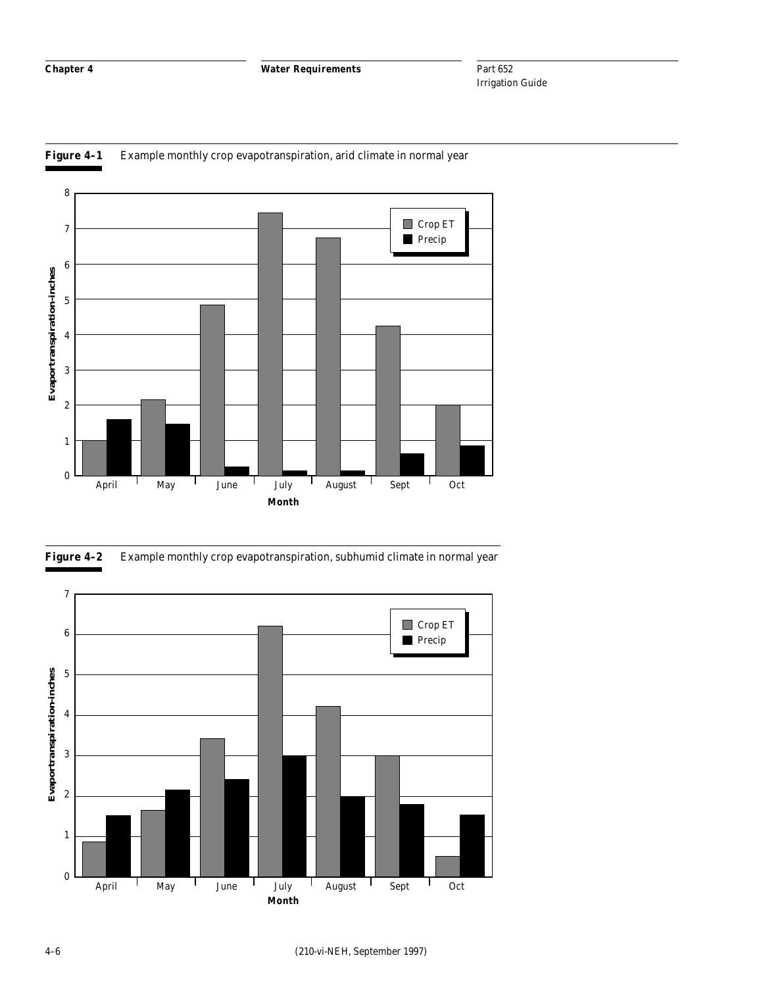



**Figure 4–2** Example monthly crop evapotranspiration, subhumid climate in normal year

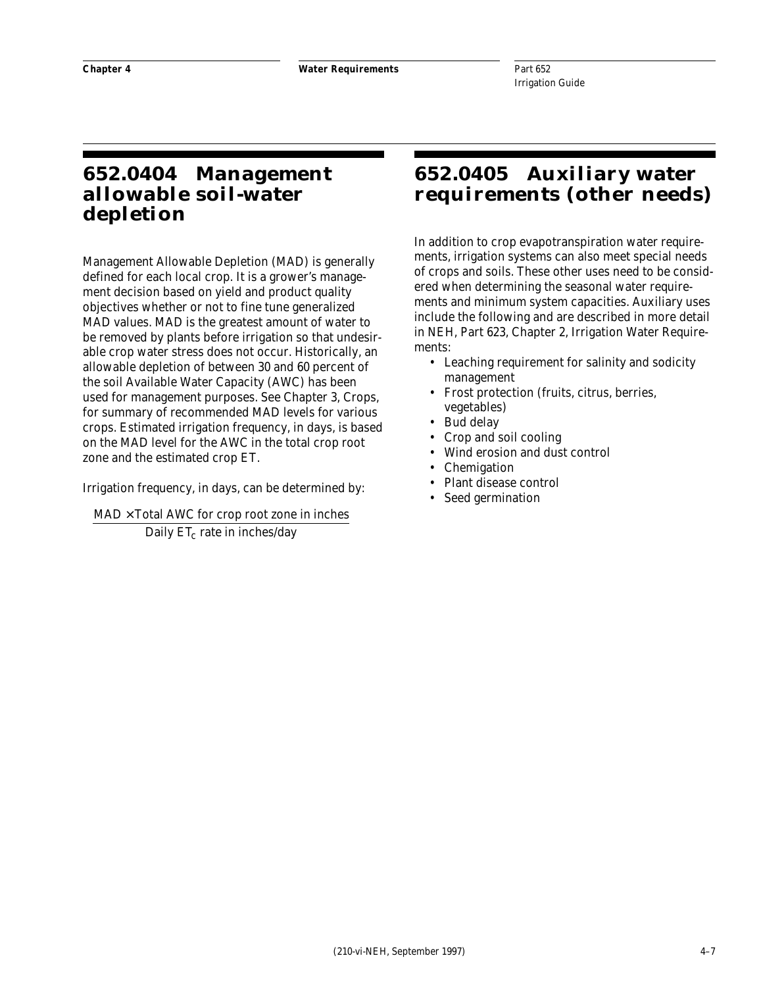## **652.0404 Management allowable soil-water depletion**

Management Allowable Depletion (MAD) is generally defined for each local crop. It is a grower's management decision based on yield and product quality objectives whether or not to fine tune generalized MAD values. MAD is the greatest amount of water to be removed by plants before irrigation so that undesirable crop water stress does not occur. Historically, an allowable depletion of between 30 and 60 percent of the soil Available Water Capacity (AWC) has been used for management purposes. See Chapter 3, Crops, for summary of recommended MAD levels for various crops. Estimated irrigation frequency, in days, is based on the MAD level for the AWC in the total crop root zone and the estimated crop ET.

Irrigation frequency, in days, can be determined by:

 $\mathrm{MAD}\times \mathrm{Total}$  AWC for crop root zone in inches Daily ET<sub>c</sub> rate in inches/day

### **652.0405 Auxiliary water requirements (other needs)**

In addition to crop evapotranspiration water requirements, irrigation systems can also meet special needs of crops and soils. These other uses need to be considered when determining the seasonal water requirements and minimum system capacities. Auxiliary uses include the following and are described in more detail in NEH, Part 623, Chapter 2, Irrigation Water Requirements:

- Leaching requirement for salinity and sodicity management
- Frost protection (fruits, citrus, berries, vegetables)
- Bud delay
- Crop and soil cooling
- Wind erosion and dust control
- **Chemigation**
- Plant disease control
- Seed germination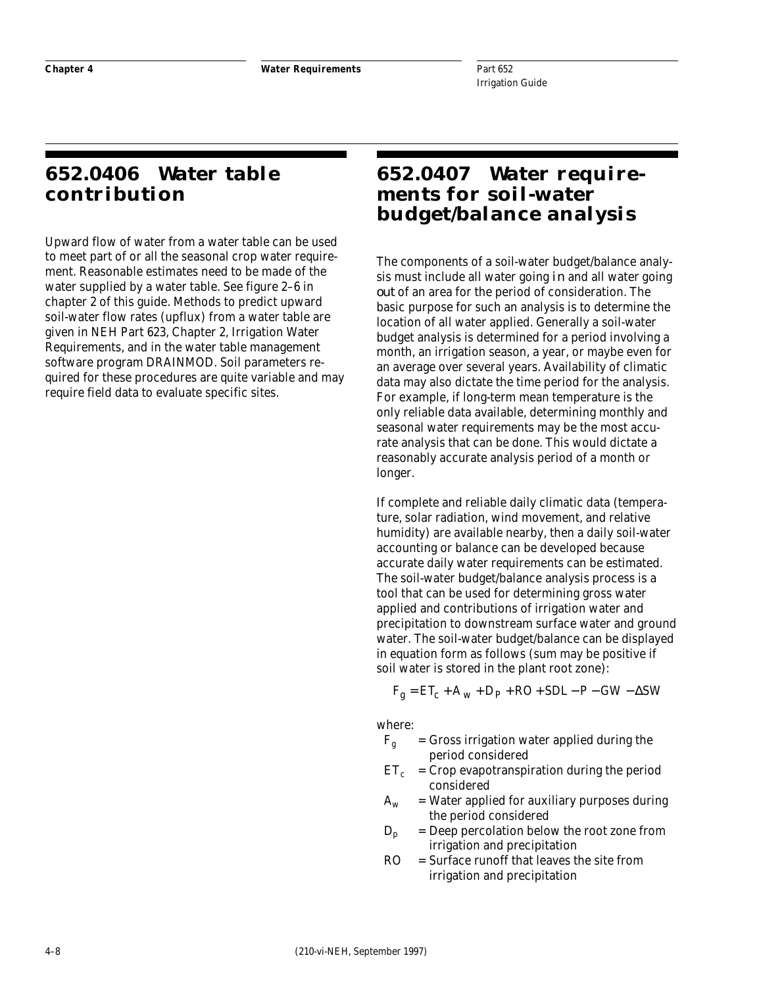## **652.0406 Water table contribution**

Upward flow of water from a water table can be used to meet part of or all the seasonal crop water requirement. Reasonable estimates need to be made of the water supplied by a water table. See figure 2–6 in chapter 2 of this guide. Methods to predict upward soil-water flow rates (upflux) from a water table are given in NEH Part 623, Chapter 2, Irrigation Water Requirements, and in the water table management software program DRAINMOD. Soil parameters required for these procedures are quite variable and may require field data to evaluate specific sites.

## **652.0407 Water requirements for soil-water budget/balance analysis**

The components of a soil-water budget/balance analysis must include all water going *in* and all water going *out* of an area for the period of consideration. The basic purpose for such an analysis is to determine the location of all water applied. Generally a soil-water budget analysis is determined for a period involving a month, an irrigation season, a year, or maybe even for an average over several years. Availability of climatic data may also dictate the time period for the analysis. For example, if long-term mean temperature is the only reliable data available, determining monthly and seasonal water requirements may be the most accurate analysis that can be done. This would dictate a reasonably accurate analysis period of a month or longer.

If complete and reliable daily climatic data (temperature, solar radiation, wind movement, and relative humidity) are available nearby, then a daily soil-water accounting or balance can be developed because accurate daily water requirements can be estimated. The soil-water budget/balance analysis process is a tool that can be used for determining gross water applied and contributions of irrigation water and precipitation to downstream surface water and ground water. The soil-water budget/balance can be displayed in equation form as follows (sum may be positive if soil water is stored in the plant root zone):

 $F_g = ET_c + A_w + D_P + RO + SDL - P - GW - \Delta SW$ 

where:

- $F_g$  = Gross irrigation water applied during the period considered
- $ET_c$  = Crop evapotranspiration during the period considered
- $A_w$  = Water applied for auxiliary purposes during the period considered
- $D_p$  = Deep percolation below the root zone from irrigation and precipitation
- $RO = Surface$  runoff that leaves the site from irrigation and precipitation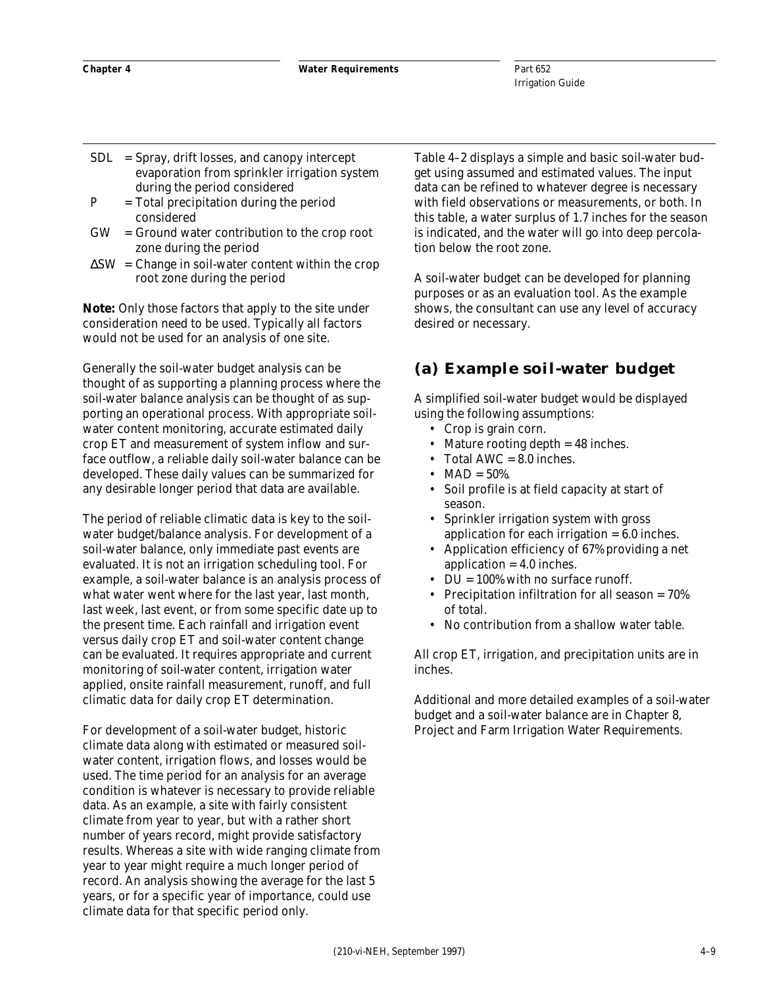- $SDL =$  Spray, drift losses, and canopy intercept evaporation from sprinkler irrigation system during the period considered
- $P = Total precipitation during the period$ considered
- GW = Ground water contribution to the crop root zone during the period
- $\Delta$ SW = Change in soil-water content within the crop root zone during the period

*Note:* Only those factors that apply to the site under consideration need to be used. Typically all factors would not be used for an analysis of one site.

Generally the soil-water budget analysis can be thought of as supporting a planning process where the soil-water balance analysis can be thought of as supporting an operational process. With appropriate soilwater content monitoring, accurate estimated daily crop ET and measurement of system inflow and surface outflow, a reliable daily soil-water balance can be developed. These daily values can be summarized for any desirable longer period that data are available.

The period of reliable climatic data is key to the soilwater budget/balance analysis. For development of a soil-water balance, only immediate past events are evaluated. It is not an irrigation scheduling tool. For example, a soil-water balance is an analysis process of what water went where for the last year, last month, last week, last event, or from some specific date up to the present time. Each rainfall and irrigation event versus daily crop ET and soil-water content change can be evaluated. It requires appropriate and current monitoring of soil-water content, irrigation water applied, onsite rainfall measurement, runoff, and full climatic data for daily crop ET determination.

For development of a soil-water budget, historic climate data along with estimated or measured soilwater content, irrigation flows, and losses would be used. The time period for an analysis for an average condition is whatever is necessary to provide reliable data. As an example, a site with fairly consistent climate from year to year, but with a rather short number of years record, might provide satisfactory results. Whereas a site with wide ranging climate from year to year might require a much longer period of record. An analysis showing the average for the last 5 years, or for a specific year of importance, could use climate data for that specific period only.

Table 4–2 displays a simple and basic soil-water budget using assumed and estimated values. The input data can be refined to whatever degree is necessary with field observations or measurements, or both. In this table, a water surplus of 1.7 inches for the season is indicated, and the water will go into deep percolation below the root zone.

A soil-water budget can be developed for planning purposes or as an evaluation tool. As the example shows, the consultant can use any level of accuracy desired or necessary.

#### **(a) Example soil-water budget**

A simplified soil-water budget would be displayed using the following assumptions:

- Crop is grain corn.
- Mature rooting depth = 48 inches.
- Total AWC = 8.0 inches.
- $MAD = 50\%.$
- Soil profile is at field capacity at start of season.
- Sprinkler irrigation system with gross application for each irrigation = 6.0 inches.
- Application efficiency of 67% providing a net application = 4.0 inches.
- DU = 100% with no surface runoff.
- Precipitation infiltration for all season = 70% of total.
- No contribution from a shallow water table.

All crop ET, irrigation, and precipitation units are in inches.

Additional and more detailed examples of a soil-water budget and a soil-water balance are in Chapter 8, Project and Farm Irrigation Water Requirements.